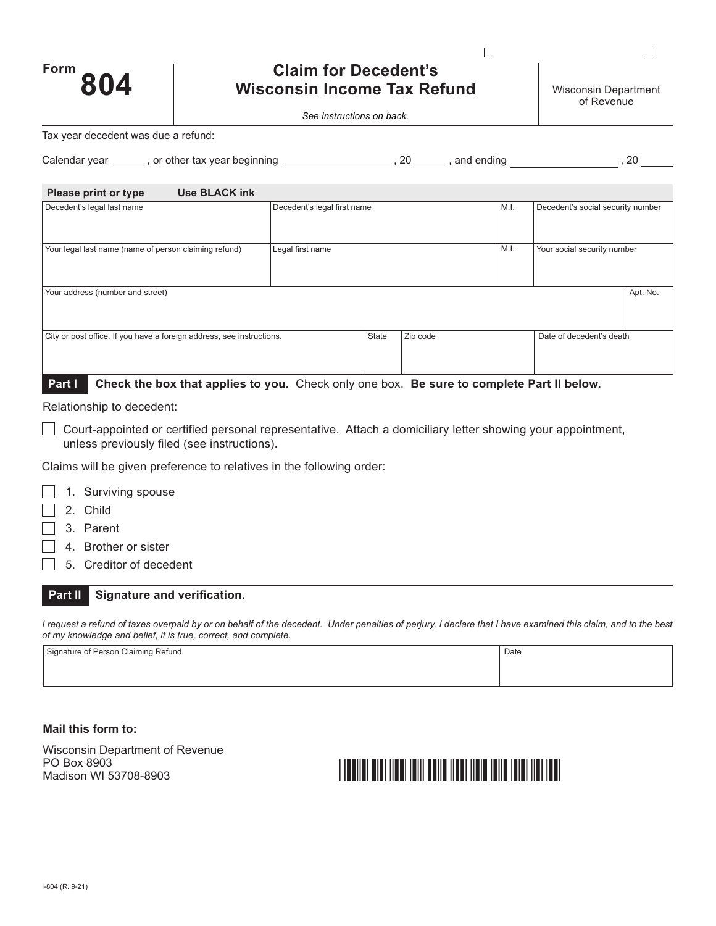| Form | 804 |  |
|------|-----|--|
|      |     |  |

# **Claim for Decedent's Wisconsin Income Tax Refund** Wisconsin Department

*See instructions on back.*

Tax year decedent was due a refund:

| Calendar vear<br>or other tax vear beginning. | ົາ | ending<br>and | n, |
|-----------------------------------------------|----|---------------|----|
|-----------------------------------------------|----|---------------|----|

| <b>Use BLACK ink</b><br>Please print or type                          |                             |              |          |      |                                   |          |
|-----------------------------------------------------------------------|-----------------------------|--------------|----------|------|-----------------------------------|----------|
| Decedent's legal last name                                            | Decedent's legal first name |              |          | M.I. | Decedent's social security number |          |
|                                                                       |                             |              |          |      |                                   |          |
| Your legal last name (name of person claiming refund)                 | Legal first name            |              |          | M.I. | Your social security number       |          |
|                                                                       |                             |              |          |      |                                   |          |
|                                                                       |                             |              |          |      |                                   |          |
| Your address (number and street)                                      |                             |              |          |      |                                   | Apt. No. |
|                                                                       |                             |              |          |      |                                   |          |
|                                                                       |                             |              |          |      |                                   |          |
| City or post office. If you have a foreign address, see instructions. |                             | <b>State</b> | Zip code |      | Date of decedent's death          |          |
|                                                                       |                             |              |          |      |                                   |          |
|                                                                       |                             |              |          |      |                                   |          |

**Part I Check the box that applies to you.** Check only one box. **Be sure to complete Part II below.**

Relationship to decedent:

 $\Box$  Court-appointed or certified personal representative. Attach a domiciliary letter showing your appointment, unless previously filed (see instructions).

Claims will be given preference to relatives in the following order:

- 1. Surviving spouse
- 2. Child
- 3. Parent
- 4. Brother or sister
- 5. Creditor of decedent

**Part II Signature and verification.**

*I request a refund of taxes overpaid by or on behalf of the decedent. Under penalties of perjury, I declare that I have examined this claim, and to the best of my knowledge and belief, it is true, correct, and complete.*

| Signature of Person Claiming Refund | Date |
|-------------------------------------|------|
|                                     |      |
|                                     |      |

#### **Mail this form to:**

Wisconsin Department of Revenue PO Box 8903 Madison WI 53708-8903

# <u> I IBBIIDI BIBI IIBBI IBIII BBIIB IIBBI IIBIB IBIIB IBIBI IIBI IBBI</u>

 $\mathbb{R}$